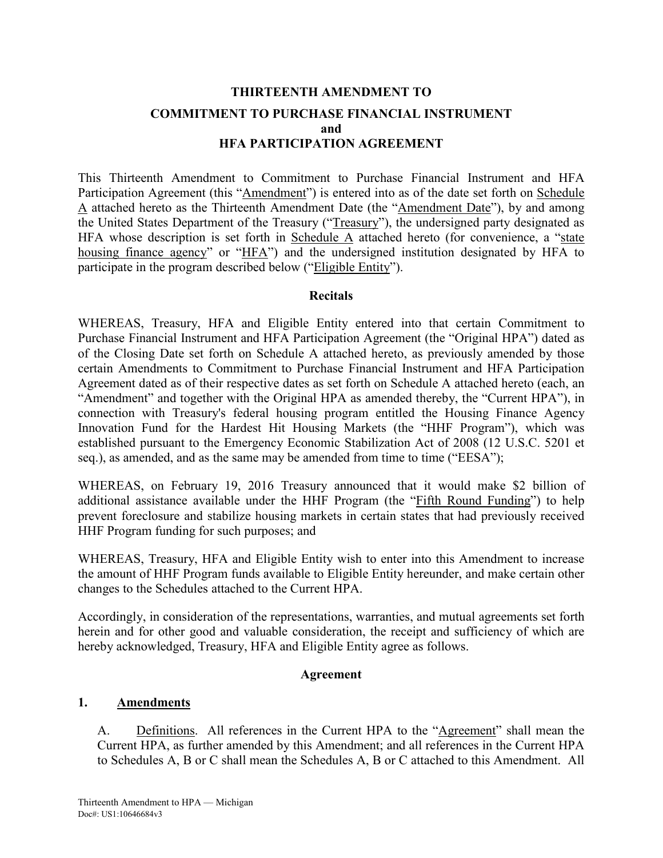# **THIRTEENTH AMENDMENT TO COMMITMENT TO PURCHASE FINANCIAL INSTRUMENT and HFA PARTICIPATION AGREEMENT**

This Thirteenth Amendment to Commitment to Purchase Financial Instrument and HFA Participation Agreement (this "Amendment") is entered into as of the date set forth on Schedule A attached hereto as the Thirteenth Amendment Date (the "Amendment Date"), by and among the United States Department of the Treasury ("Treasury"), the undersigned party designated as HFA whose description is set forth in Schedule A attached hereto (for convenience, a "state housing finance agency" or "HFA") and the undersigned institution designated by HFA to participate in the program described below ("Eligible Entity").

#### **Recitals**

WHEREAS, Treasury, HFA and Eligible Entity entered into that certain Commitment to Purchase Financial Instrument and HFA Participation Agreement (the "Original HPA") dated as of the Closing Date set forth on Schedule A attached hereto, as previously amended by those certain Amendments to Commitment to Purchase Financial Instrument and HFA Participation Agreement dated as of their respective dates as set forth on Schedule A attached hereto (each, an "Amendment" and together with the Original HPA as amended thereby, the "Current HPA"), in connection with Treasury's federal housing program entitled the Housing Finance Agency Innovation Fund for the Hardest Hit Housing Markets (the "HHF Program"), which was established pursuant to the Emergency Economic Stabilization Act of 2008 (12 U.S.C. 5201 et seq.), as amended, and as the same may be amended from time to time ("EESA");

WHEREAS, on February 19, 2016 Treasury announced that it would make \$2 billion of additional assistance available under the HHF Program (the "Fifth Round Funding") to help prevent foreclosure and stabilize housing markets in certain states that had previously received HHF Program funding for such purposes; and

WHEREAS, Treasury, HFA and Eligible Entity wish to enter into this Amendment to increase the amount of HHF Program funds available to Eligible Entity hereunder, and make certain other changes to the Schedules attached to the Current HPA.

Accordingly, in consideration of the representations, warranties, and mutual agreements set forth herein and for other good and valuable consideration, the receipt and sufficiency of which are hereby acknowledged, Treasury, HFA and Eligible Entity agree as follows.

#### **Agreement**

## **1. Amendments**

A. Definitions. All references in the Current HPA to the "Agreement" shall mean the Current HPA, as further amended by this Amendment; and all references in the Current HPA to Schedules A, B or C shall mean the Schedules A, B or C attached to this Amendment. All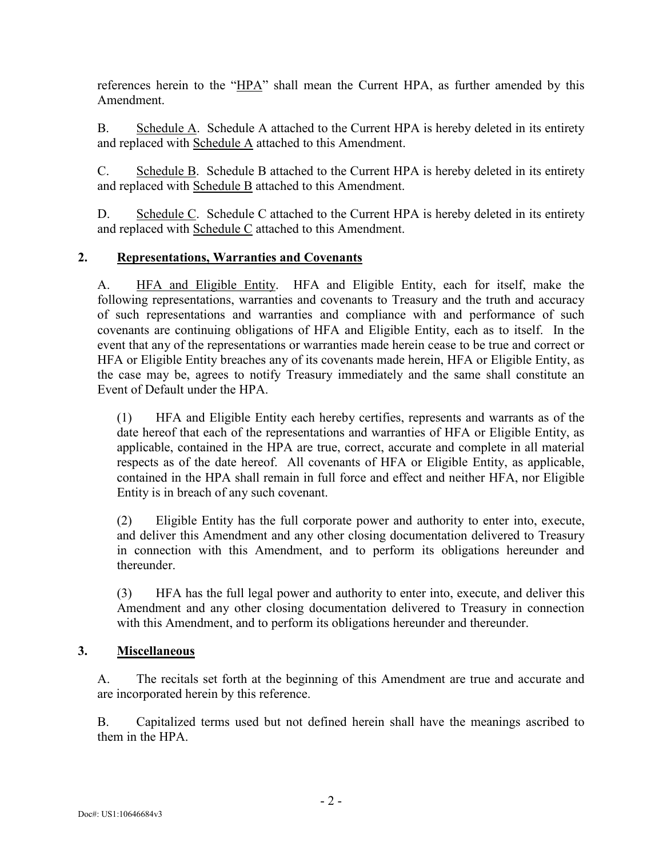references herein to the "HPA" shall mean the Current HPA, as further amended by this Amendment.

B. Schedule A. Schedule A attached to the Current HPA is hereby deleted in its entirety and replaced with Schedule A attached to this Amendment.

C. Schedule B. Schedule B attached to the Current HPA is hereby deleted in its entirety and replaced with Schedule B attached to this Amendment.

D. Schedule C. Schedule C attached to the Current HPA is hereby deleted in its entirety and replaced with Schedule C attached to this Amendment.

## **2. Representations, Warranties and Covenants**

A. HFA and Eligible Entity. HFA and Eligible Entity, each for itself, make the following representations, warranties and covenants to Treasury and the truth and accuracy of such representations and warranties and compliance with and performance of such covenants are continuing obligations of HFA and Eligible Entity, each as to itself. In the event that any of the representations or warranties made herein cease to be true and correct or HFA or Eligible Entity breaches any of its covenants made herein, HFA or Eligible Entity, as the case may be, agrees to notify Treasury immediately and the same shall constitute an Event of Default under the HPA.

(1) HFA and Eligible Entity each hereby certifies, represents and warrants as of the date hereof that each of the representations and warranties of HFA or Eligible Entity, as applicable, contained in the HPA are true, correct, accurate and complete in all material respects as of the date hereof. All covenants of HFA or Eligible Entity, as applicable, contained in the HPA shall remain in full force and effect and neither HFA, nor Eligible Entity is in breach of any such covenant.

(2) Eligible Entity has the full corporate power and authority to enter into, execute, and deliver this Amendment and any other closing documentation delivered to Treasury in connection with this Amendment, and to perform its obligations hereunder and thereunder.

(3) HFA has the full legal power and authority to enter into, execute, and deliver this Amendment and any other closing documentation delivered to Treasury in connection with this Amendment, and to perform its obligations hereunder and thereunder.

## **3. Miscellaneous**

A. The recitals set forth at the beginning of this Amendment are true and accurate and are incorporated herein by this reference.

B. Capitalized terms used but not defined herein shall have the meanings ascribed to them in the HPA.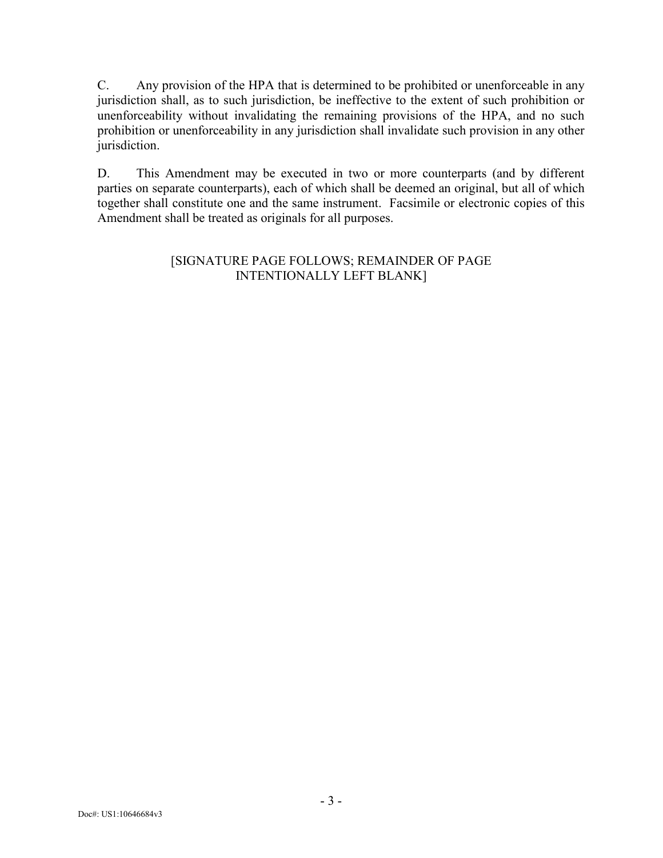C. Any provision of the HPA that is determined to be prohibited or unenforceable in any jurisdiction shall, as to such jurisdiction, be ineffective to the extent of such prohibition or unenforceability without invalidating the remaining provisions of the HPA, and no such prohibition or unenforceability in any jurisdiction shall invalidate such provision in any other jurisdiction.

D. This Amendment may be executed in two or more counterparts (and by different parties on separate counterparts), each of which shall be deemed an original, but all of which together shall constitute one and the same instrument. Facsimile or electronic copies of this Amendment shall be treated as originals for all purposes.

## [SIGNATURE PAGE FOLLOWS; REMAINDER OF PAGE INTENTIONALLY LEFT BLANK]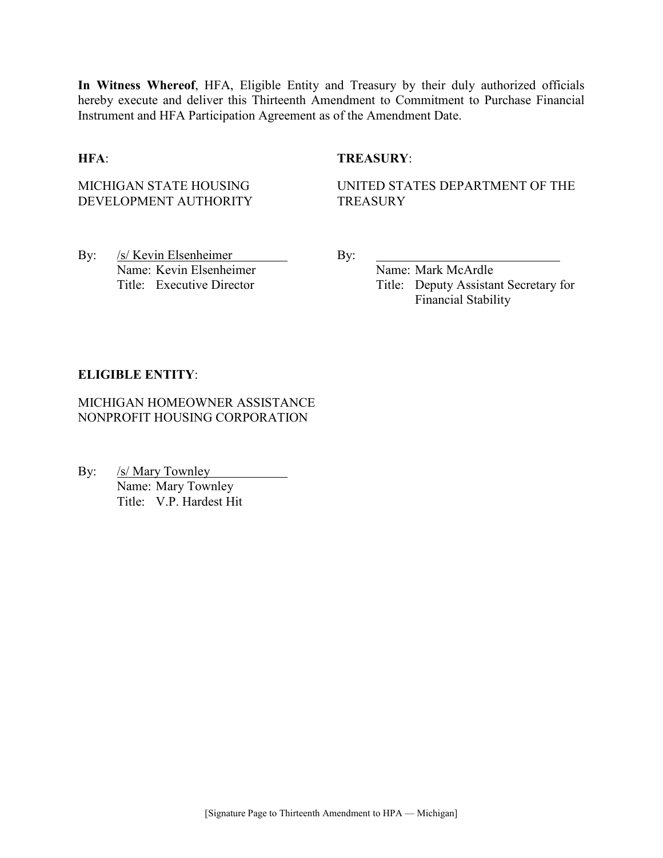**In Witness Whereof**, HFA, Eligible Entity and Treasury by their duly authorized officials hereby execute and deliver this Thirteenth Amendment to Commitment to Purchase Financial Instrument and HFA Participation Agreement as of the Amendment Date.

## **HFA**: **TREASURY**:

MICHIGAN STATE HOUSING DEVELOPMENT AUTHORITY UNITED STATES DEPARTMENT OF THE **TREASURY** 

By: /s/ Kevin Elsenheimer By: Name: Kevin Elsenheimer Name: Mark McArdle

Title: Executive Director Title: Deputy Assistant Secretary for Financial Stability

## **ELIGIBLE ENTITY**:

MICHIGAN HOMEOWNER ASSISTANCE NONPROFIT HOUSING CORPORATION

By: /s/ Mary Townley Name: Mary Townley Title: V.P. Hardest Hit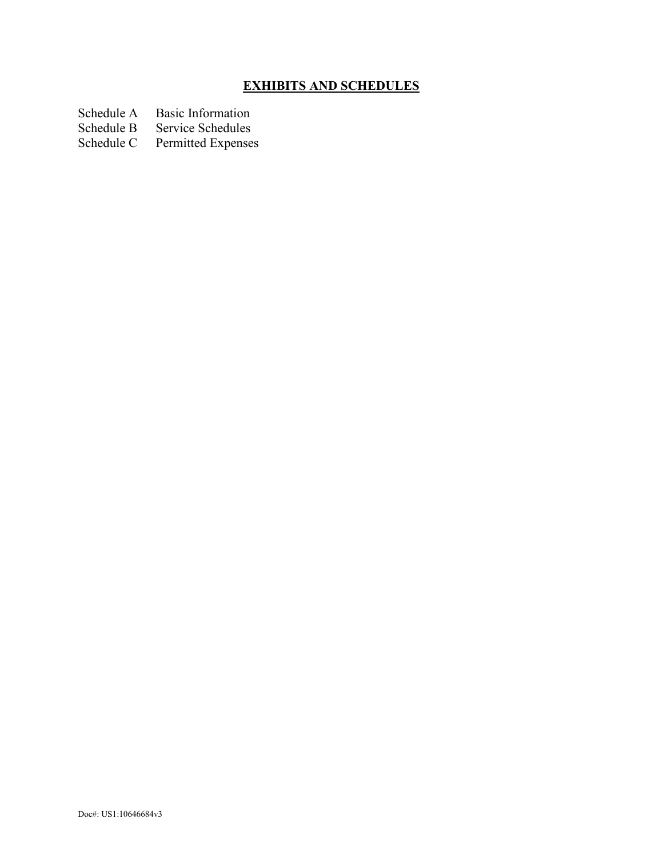# **EXHIBITS AND SCHEDULES**

Schedule A Basic Information<br>Schedule B Service Schedules

Schedule B Service Schedules<br>Schedule C Permitted Expense

Permitted Expenses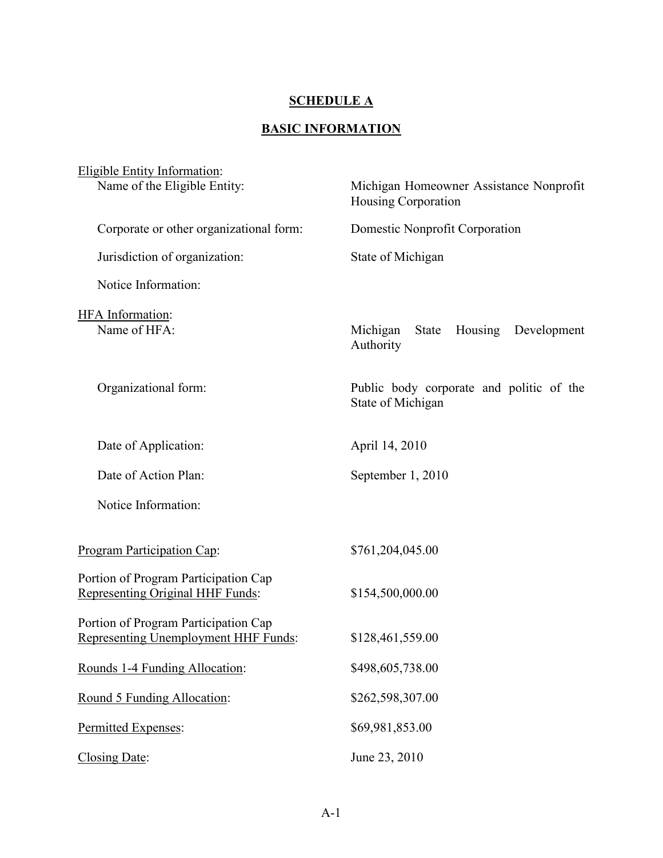# **SCHEDULE A**

# **BASIC INFORMATION**

| Eligible Entity Information:                                                 |                                                                |
|------------------------------------------------------------------------------|----------------------------------------------------------------|
| Name of the Eligible Entity:                                                 | Michigan Homeowner Assistance Nonprofit<br>Housing Corporation |
| Corporate or other organizational form:                                      | Domestic Nonprofit Corporation                                 |
| Jurisdiction of organization:                                                | State of Michigan                                              |
| Notice Information:                                                          |                                                                |
| HFA Information:<br>Name of HFA:                                             | Housing Development<br>Michigan<br>State<br>Authority          |
| Organizational form:                                                         | Public body corporate and politic of the<br>State of Michigan  |
| Date of Application:                                                         | April 14, 2010                                                 |
| Date of Action Plan:                                                         | September 1, 2010                                              |
| Notice Information:                                                          |                                                                |
| Program Participation Cap:                                                   | \$761,204,045.00                                               |
| Portion of Program Participation Cap<br>Representing Original HHF Funds:     | \$154,500,000.00                                               |
| Portion of Program Participation Cap<br>Representing Unemployment HHF Funds: | \$128,461,559.00                                               |
| Rounds 1-4 Funding Allocation:                                               | \$498,605,738.00                                               |
| Round 5 Funding Allocation:                                                  | \$262,598,307.00                                               |
| Permitted Expenses:                                                          | \$69,981,853.00                                                |
| Closing Date:                                                                | June 23, 2010                                                  |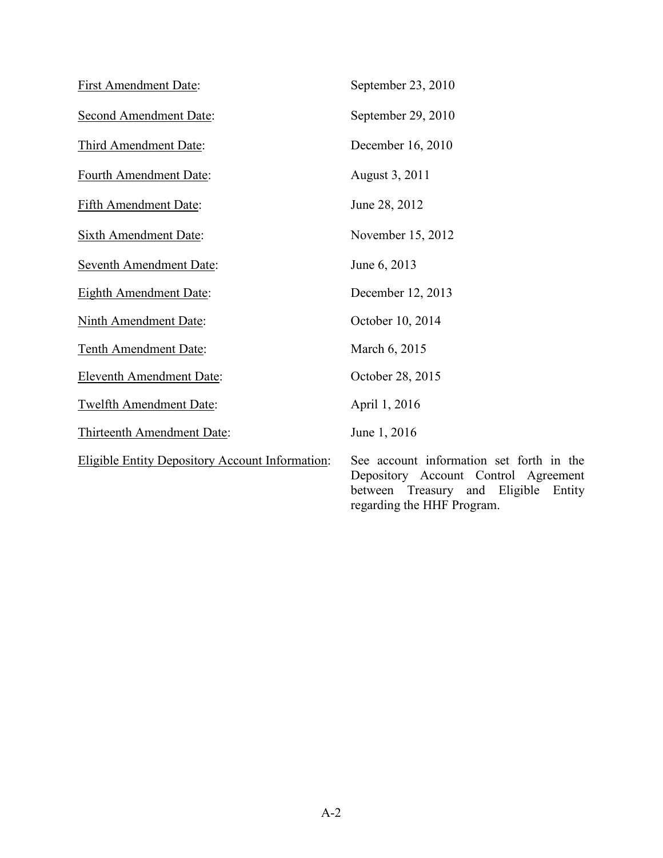| <b>First Amendment Date:</b>                           | September 23, 2010                                                                                                                |
|--------------------------------------------------------|-----------------------------------------------------------------------------------------------------------------------------------|
| <b>Second Amendment Date:</b>                          | September 29, 2010                                                                                                                |
| Third Amendment Date:                                  | December 16, 2010                                                                                                                 |
| Fourth Amendment Date:                                 | August 3, 2011                                                                                                                    |
| Fifth Amendment Date:                                  | June 28, 2012                                                                                                                     |
| <b>Sixth Amendment Date:</b>                           | November 15, 2012                                                                                                                 |
| <b>Seventh Amendment Date:</b>                         | June 6, 2013                                                                                                                      |
| <b>Eighth Amendment Date:</b>                          | December 12, 2013                                                                                                                 |
| <b>Ninth Amendment Date:</b>                           | October 10, 2014                                                                                                                  |
| Tenth Amendment Date:                                  | March 6, 2015                                                                                                                     |
| <b>Eleventh Amendment Date:</b>                        | October 28, 2015                                                                                                                  |
| Twelfth Amendment Date:                                | April 1, 2016                                                                                                                     |
| Thirteenth Amendment Date:                             | June 1, 2016                                                                                                                      |
| <b>Eligible Entity Depository Account Information:</b> | See account information set forth in the<br>Depository Account Control Agreement<br>Eligible<br>and<br>between Treasury<br>Entity |

regarding the HHF Program.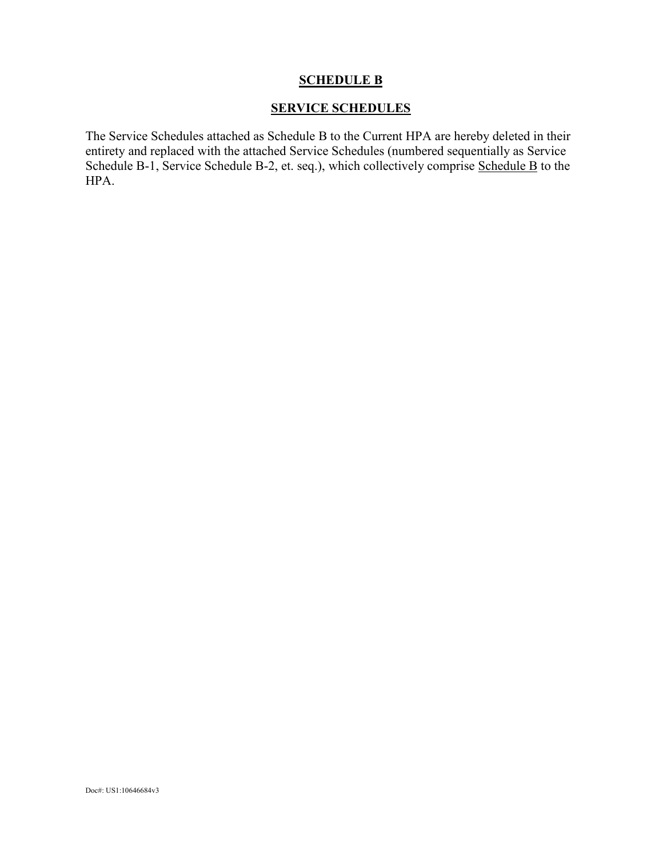## **SCHEDULE B**

## **SERVICE SCHEDULES**

The Service Schedules attached as Schedule B to the Current HPA are hereby deleted in their entirety and replaced with the attached Service Schedules (numbered sequentially as Service Schedule B-1, Service Schedule B-2, et. seq.), which collectively comprise Schedule B to the HPA.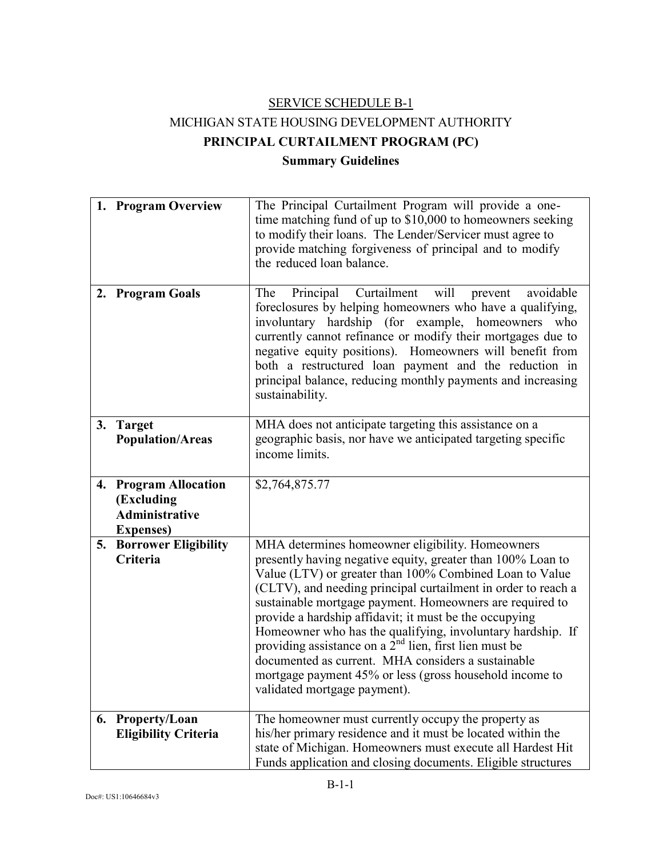# SERVICE SCHEDULE B-1 MICHIGAN STATE HOUSING DEVELOPMENT AUTHORITY **PRINCIPAL CURTAILMENT PROGRAM (PC) Summary Guidelines**

|    | 1. Program Overview                                                                   | The Principal Curtailment Program will provide a one-<br>time matching fund of up to \$10,000 to homeowners seeking<br>to modify their loans. The Lender/Servicer must agree to<br>provide matching forgiveness of principal and to modify<br>the reduced loan balance.                                                                                                                                                                                                                                                                                                                                                                      |
|----|---------------------------------------------------------------------------------------|----------------------------------------------------------------------------------------------------------------------------------------------------------------------------------------------------------------------------------------------------------------------------------------------------------------------------------------------------------------------------------------------------------------------------------------------------------------------------------------------------------------------------------------------------------------------------------------------------------------------------------------------|
|    | 2. Program Goals                                                                      | Principal Curtailment<br>will<br>The<br>avoidable<br>prevent<br>foreclosures by helping homeowners who have a qualifying,<br>involuntary hardship (for example, homeowners<br>who<br>currently cannot refinance or modify their mortgages due to<br>negative equity positions). Homeowners will benefit from<br>both a restructured loan payment and the reduction in<br>principal balance, reducing monthly payments and increasing<br>sustainability.                                                                                                                                                                                      |
| 3. | <b>Target</b><br><b>Population/Areas</b>                                              | MHA does not anticipate targeting this assistance on a<br>geographic basis, nor have we anticipated targeting specific<br>income limits.                                                                                                                                                                                                                                                                                                                                                                                                                                                                                                     |
| 4. | <b>Program Allocation</b><br>(Excluding<br><b>Administrative</b><br><b>Expenses</b> ) | \$2,764,875.77                                                                                                                                                                                                                                                                                                                                                                                                                                                                                                                                                                                                                               |
| 5. | <b>Borrower Eligibility</b><br>Criteria                                               | MHA determines homeowner eligibility. Homeowners<br>presently having negative equity, greater than 100% Loan to<br>Value (LTV) or greater than 100% Combined Loan to Value<br>(CLTV), and needing principal curtailment in order to reach a<br>sustainable mortgage payment. Homeowners are required to<br>provide a hardship affidavit; it must be the occupying<br>Homeowner who has the qualifying, involuntary hardship. If<br>providing assistance on a $2nd$ lien, first lien must be<br>documented as current. MHA considers a sustainable<br>mortgage payment 45% or less (gross household income to<br>validated mortgage payment). |
|    | 6. Property/Loan<br><b>Eligibility Criteria</b>                                       | The homeowner must currently occupy the property as<br>his/her primary residence and it must be located within the<br>state of Michigan. Homeowners must execute all Hardest Hit<br>Funds application and closing documents. Eligible structures                                                                                                                                                                                                                                                                                                                                                                                             |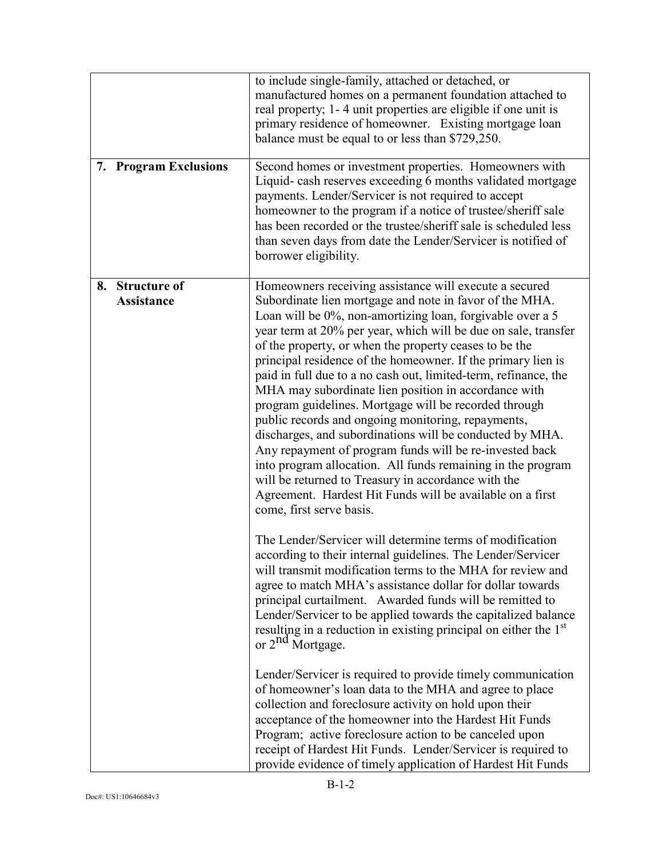| 7. Program Exclusions                          | to include single-family, attached or detached, or<br>manufactured homes on a permanent foundation attached to<br>real property; 1-4 unit properties are eligible if one unit is<br>primary residence of homeowner. Existing mortgage loan<br>balance must be equal to or less than \$729,250.<br>Second homes or investment properties. Homeowners with<br>Liquid-cash reserves exceeding 6 months validated mortgage<br>payments. Lender/Servicer is not required to accept<br>homeowner to the program if a notice of trustee/sheriff sale<br>has been recorded or the trustee/sheriff sale is scheduled less<br>than seven days from date the Lender/Servicer is notified of<br>borrower eligibility.                                                                                                                                                                                                                                                  |
|------------------------------------------------|------------------------------------------------------------------------------------------------------------------------------------------------------------------------------------------------------------------------------------------------------------------------------------------------------------------------------------------------------------------------------------------------------------------------------------------------------------------------------------------------------------------------------------------------------------------------------------------------------------------------------------------------------------------------------------------------------------------------------------------------------------------------------------------------------------------------------------------------------------------------------------------------------------------------------------------------------------|
| <b>Structure of</b><br>8.<br><b>Assistance</b> | Homeowners receiving assistance will execute a secured<br>Subordinate lien mortgage and note in favor of the MHA.<br>Loan will be 0%, non-amortizing loan, forgivable over a 5<br>year term at 20% per year, which will be due on sale, transfer<br>of the property, or when the property ceases to be the<br>principal residence of the homeowner. If the primary lien is<br>paid in full due to a no cash out, limited-term, refinance, the<br>MHA may subordinate lien position in accordance with<br>program guidelines. Mortgage will be recorded through<br>public records and ongoing monitoring, repayments,<br>discharges, and subordinations will be conducted by MHA.<br>Any repayment of program funds will be re-invested back<br>into program allocation. All funds remaining in the program<br>will be returned to Treasury in accordance with the<br>Agreement. Hardest Hit Funds will be available on a first<br>come, first serve basis. |
|                                                | The Lender/Servicer will determine terms of modification<br>according to their internal guidelines. The Lender/Servicer<br>will transmit modification terms to the MHA for review and<br>agree to match MHA's assistance dollar for dollar towards<br>principal curtailment. Awarded funds will be remitted to<br>Lender/Servicer to be applied towards the capitalized balance<br>resulting in a reduction in existing principal on either the 1 <sup>st</sup><br>or 2 <sup>nd</sup> Mortgage.                                                                                                                                                                                                                                                                                                                                                                                                                                                            |
|                                                | Lender/Servicer is required to provide timely communication<br>of homeowner's loan data to the MHA and agree to place<br>collection and foreclosure activity on hold upon their<br>acceptance of the homeowner into the Hardest Hit Funds<br>Program; active foreclosure action to be canceled upon<br>receipt of Hardest Hit Funds. Lender/Servicer is required to<br>provide evidence of timely application of Hardest Hit Funds                                                                                                                                                                                                                                                                                                                                                                                                                                                                                                                         |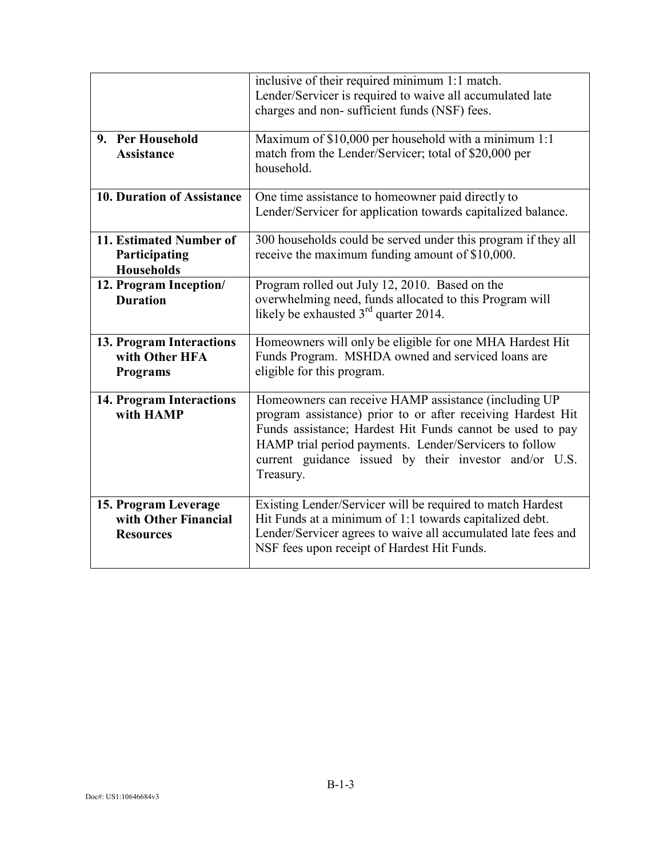|                                                                  | inclusive of their required minimum 1:1 match.<br>Lender/Servicer is required to waive all accumulated late<br>charges and non-sufficient funds (NSF) fees.                                                                                                                                                      |
|------------------------------------------------------------------|------------------------------------------------------------------------------------------------------------------------------------------------------------------------------------------------------------------------------------------------------------------------------------------------------------------|
| 9. Per Household<br><b>Assistance</b>                            | Maximum of \$10,000 per household with a minimum 1:1<br>match from the Lender/Servicer; total of \$20,000 per<br>household.                                                                                                                                                                                      |
| <b>10. Duration of Assistance</b>                                | One time assistance to homeowner paid directly to<br>Lender/Servicer for application towards capitalized balance.                                                                                                                                                                                                |
| 11. Estimated Number of<br>Participating<br><b>Households</b>    | 300 households could be served under this program if they all<br>receive the maximum funding amount of \$10,000.                                                                                                                                                                                                 |
| 12. Program Inception/<br><b>Duration</b>                        | Program rolled out July 12, 2010. Based on the<br>overwhelming need, funds allocated to this Program will<br>likely be exhausted $3rd$ quarter 2014.                                                                                                                                                             |
| 13. Program Interactions<br>with Other HFA<br><b>Programs</b>    | Homeowners will only be eligible for one MHA Hardest Hit<br>Funds Program. MSHDA owned and serviced loans are<br>eligible for this program.                                                                                                                                                                      |
| <b>14. Program Interactions</b><br>with HAMP                     | Homeowners can receive HAMP assistance (including UP<br>program assistance) prior to or after receiving Hardest Hit<br>Funds assistance; Hardest Hit Funds cannot be used to pay<br>HAMP trial period payments. Lender/Servicers to follow<br>current guidance issued by their investor and/or U.S.<br>Treasury. |
| 15. Program Leverage<br>with Other Financial<br><b>Resources</b> | Existing Lender/Servicer will be required to match Hardest<br>Hit Funds at a minimum of 1:1 towards capitalized debt.<br>Lender/Servicer agrees to waive all accumulated late fees and<br>NSF fees upon receipt of Hardest Hit Funds.                                                                            |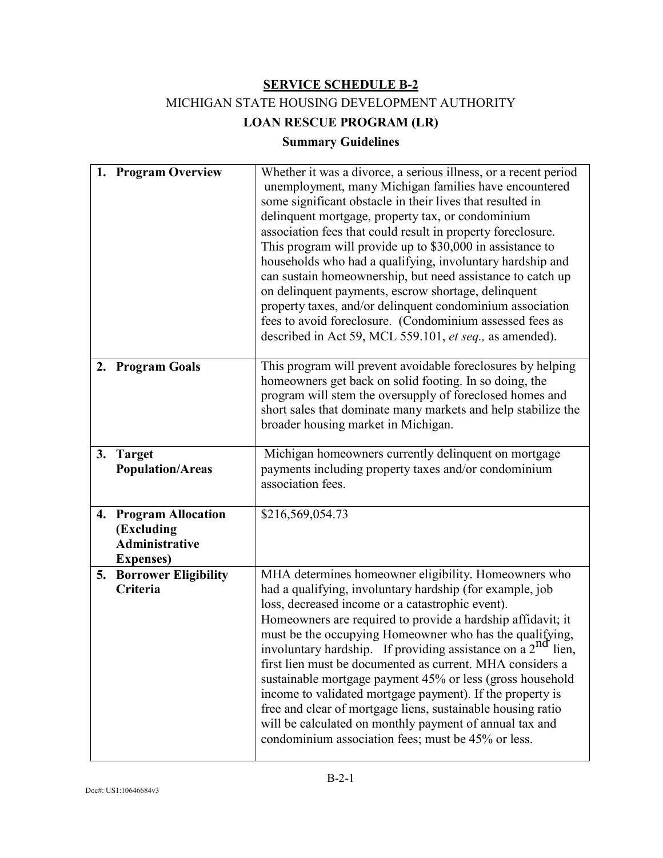MICHIGAN STATE HOUSING DEVELOPMENT AUTHORITY

**LOAN RESCUE PROGRAM (LR)**

# **Summary Guidelines**

|    | 1. Program Overview                                                                   | Whether it was a divorce, a serious illness, or a recent period<br>unemployment, many Michigan families have encountered<br>some significant obstacle in their lives that resulted in<br>delinquent mortgage, property tax, or condominium<br>association fees that could result in property foreclosure.<br>This program will provide up to \$30,000 in assistance to<br>households who had a qualifying, involuntary hardship and<br>can sustain homeownership, but need assistance to catch up<br>on delinquent payments, escrow shortage, delinquent<br>property taxes, and/or delinquent condominium association<br>fees to avoid foreclosure. (Condominium assessed fees as<br>described in Act 59, MCL 559.101, et seq., as amended).      |
|----|---------------------------------------------------------------------------------------|---------------------------------------------------------------------------------------------------------------------------------------------------------------------------------------------------------------------------------------------------------------------------------------------------------------------------------------------------------------------------------------------------------------------------------------------------------------------------------------------------------------------------------------------------------------------------------------------------------------------------------------------------------------------------------------------------------------------------------------------------|
|    | 2. Program Goals                                                                      | This program will prevent avoidable foreclosures by helping<br>homeowners get back on solid footing. In so doing, the<br>program will stem the oversupply of foreclosed homes and<br>short sales that dominate many markets and help stabilize the<br>broader housing market in Michigan.                                                                                                                                                                                                                                                                                                                                                                                                                                                         |
|    | 3. Target<br><b>Population/Areas</b>                                                  | Michigan homeowners currently delinquent on mortgage<br>payments including property taxes and/or condominium<br>association fees.                                                                                                                                                                                                                                                                                                                                                                                                                                                                                                                                                                                                                 |
| 4. | <b>Program Allocation</b><br>(Excluding<br><b>Administrative</b><br><b>Expenses</b> ) | \$216,569,054.73                                                                                                                                                                                                                                                                                                                                                                                                                                                                                                                                                                                                                                                                                                                                  |
| 5. | <b>Borrower Eligibility</b><br>Criteria                                               | MHA determines homeowner eligibility. Homeowners who<br>had a qualifying, involuntary hardship (for example, job<br>loss, decreased income or a catastrophic event).<br>Homeowners are required to provide a hardship affidavit; it<br>must be the occupying Homeowner who has the qualifying,<br>involuntary hardship. If providing assistance on a 2 <sup>nd</sup> lien,<br>first lien must be documented as current. MHA considers a<br>sustainable mortgage payment 45% or less (gross household<br>income to validated mortgage payment). If the property is<br>free and clear of mortgage liens, sustainable housing ratio<br>will be calculated on monthly payment of annual tax and<br>condominium association fees; must be 45% or less. |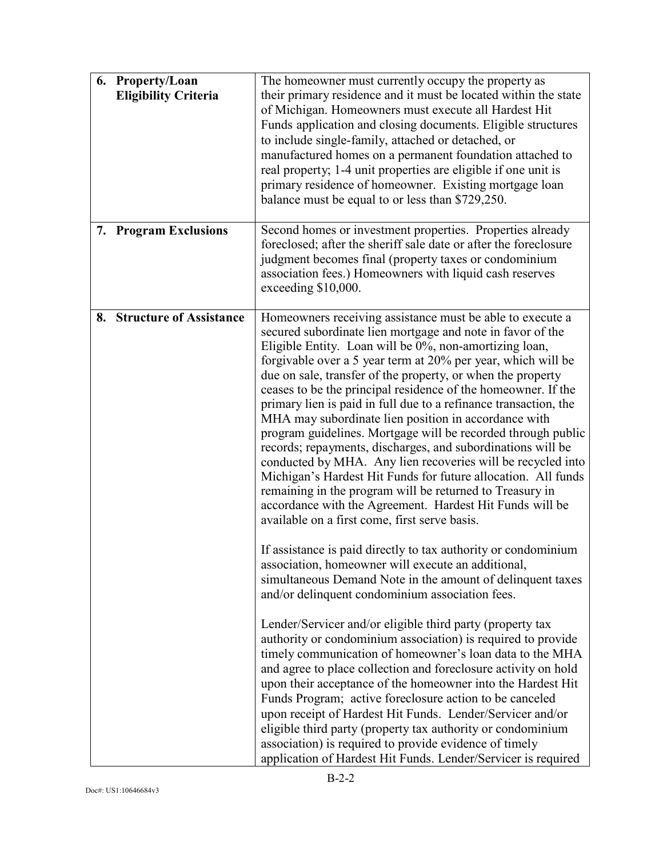| 6. Property/Loan<br><b>Eligibility Criteria</b> | The homeowner must currently occupy the property as<br>their primary residence and it must be located within the state<br>of Michigan. Homeowners must execute all Hardest Hit<br>Funds application and closing documents. Eligible structures<br>to include single-family, attached or detached, or<br>manufactured homes on a permanent foundation attached to<br>real property; 1-4 unit properties are eligible if one unit is<br>primary residence of homeowner. Existing mortgage loan<br>balance must be equal to or less than \$729,250.                                                                                                                                                                                                                                                                                                                                                                                                      |
|-------------------------------------------------|-------------------------------------------------------------------------------------------------------------------------------------------------------------------------------------------------------------------------------------------------------------------------------------------------------------------------------------------------------------------------------------------------------------------------------------------------------------------------------------------------------------------------------------------------------------------------------------------------------------------------------------------------------------------------------------------------------------------------------------------------------------------------------------------------------------------------------------------------------------------------------------------------------------------------------------------------------|
| 7. Program Exclusions                           | Second homes or investment properties. Properties already<br>foreclosed; after the sheriff sale date or after the foreclosure<br>judgment becomes final (property taxes or condominium<br>association fees.) Homeowners with liquid cash reserves<br>exceeding \$10,000.                                                                                                                                                                                                                                                                                                                                                                                                                                                                                                                                                                                                                                                                              |
| <b>Structure of Assistance</b><br>8.            | Homeowners receiving assistance must be able to execute a<br>secured subordinate lien mortgage and note in favor of the<br>Eligible Entity. Loan will be 0%, non-amortizing loan,<br>forgivable over a 5 year term at 20% per year, which will be<br>due on sale, transfer of the property, or when the property<br>ceases to be the principal residence of the homeowner. If the<br>primary lien is paid in full due to a refinance transaction, the<br>MHA may subordinate lien position in accordance with<br>program guidelines. Mortgage will be recorded through public<br>records; repayments, discharges, and subordinations will be<br>conducted by MHA. Any lien recoveries will be recycled into<br>Michigan's Hardest Hit Funds for future allocation. All funds<br>remaining in the program will be returned to Treasury in<br>accordance with the Agreement. Hardest Hit Funds will be<br>available on a first come, first serve basis. |
|                                                 | If assistance is paid directly to tax authority or condominium<br>association, homeowner will execute an additional,<br>simultaneous Demand Note in the amount of delinquent taxes<br>and/or delinquent condominium association fees.                                                                                                                                                                                                                                                                                                                                                                                                                                                                                                                                                                                                                                                                                                                 |
|                                                 | Lender/Servicer and/or eligible third party (property tax<br>authority or condominium association) is required to provide<br>timely communication of homeowner's loan data to the MHA<br>and agree to place collection and foreclosure activity on hold<br>upon their acceptance of the homeowner into the Hardest Hit<br>Funds Program; active foreclosure action to be canceled<br>upon receipt of Hardest Hit Funds. Lender/Servicer and/or<br>eligible third party (property tax authority or condominium<br>association) is required to provide evidence of timely<br>application of Hardest Hit Funds. Lender/Servicer is required                                                                                                                                                                                                                                                                                                              |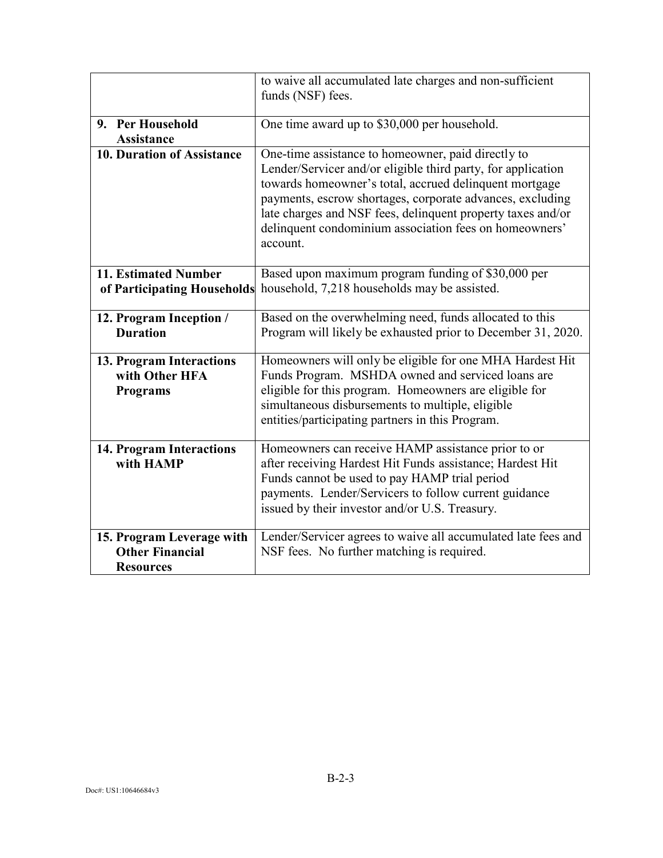|                                                                         | to waive all accumulated late charges and non-sufficient<br>funds (NSF) fees.                                                                                                                                                                                                                                                                                                  |
|-------------------------------------------------------------------------|--------------------------------------------------------------------------------------------------------------------------------------------------------------------------------------------------------------------------------------------------------------------------------------------------------------------------------------------------------------------------------|
| 9. Per Household<br><b>Assistance</b>                                   | One time award up to \$30,000 per household.                                                                                                                                                                                                                                                                                                                                   |
| <b>10. Duration of Assistance</b>                                       | One-time assistance to homeowner, paid directly to<br>Lender/Servicer and/or eligible third party, for application<br>towards homeowner's total, accrued delinquent mortgage<br>payments, escrow shortages, corporate advances, excluding<br>late charges and NSF fees, delinquent property taxes and/or<br>delinquent condominium association fees on homeowners'<br>account. |
| 11. Estimated Number<br>of Participating Households                     | Based upon maximum program funding of \$30,000 per<br>household, 7,218 households may be assisted.                                                                                                                                                                                                                                                                             |
| 12. Program Inception /<br><b>Duration</b>                              | Based on the overwhelming need, funds allocated to this<br>Program will likely be exhausted prior to December 31, 2020.                                                                                                                                                                                                                                                        |
| 13. Program Interactions<br>with Other HFA<br><b>Programs</b>           | Homeowners will only be eligible for one MHA Hardest Hit<br>Funds Program. MSHDA owned and serviced loans are<br>eligible for this program. Homeowners are eligible for<br>simultaneous disbursements to multiple, eligible<br>entities/participating partners in this Program.                                                                                                |
| <b>14. Program Interactions</b><br>with HAMP                            | Homeowners can receive HAMP assistance prior to or<br>after receiving Hardest Hit Funds assistance; Hardest Hit<br>Funds cannot be used to pay HAMP trial period<br>payments. Lender/Servicers to follow current guidance<br>issued by their investor and/or U.S. Treasury.                                                                                                    |
| 15. Program Leverage with<br><b>Other Financial</b><br><b>Resources</b> | Lender/Servicer agrees to waive all accumulated late fees and<br>NSF fees. No further matching is required.                                                                                                                                                                                                                                                                    |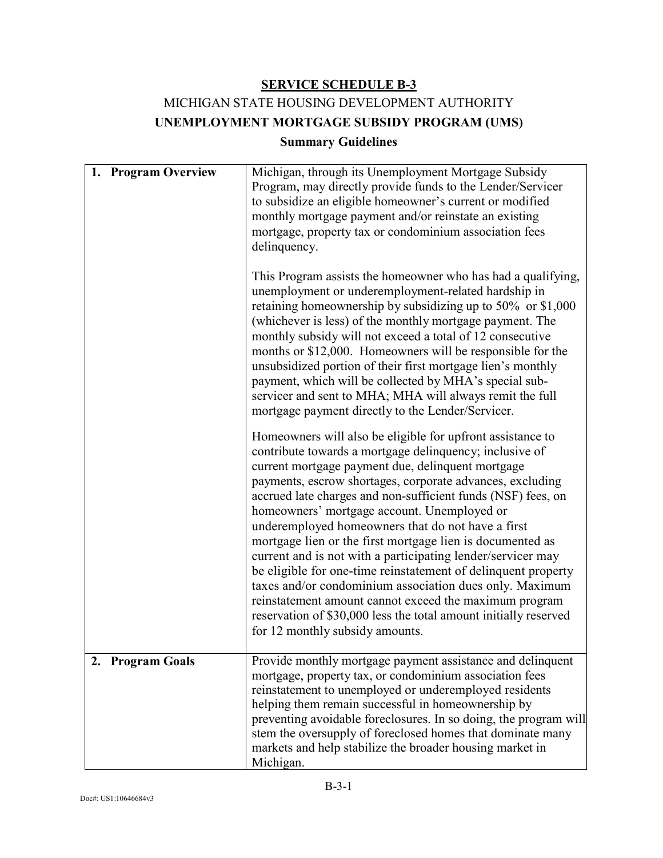# MICHIGAN STATE HOUSING DEVELOPMENT AUTHORITY **UNEMPLOYMENT MORTGAGE SUBSIDY PROGRAM (UMS)**

## **Summary Guidelines**

| 1. Program Overview | Michigan, through its Unemployment Mortgage Subsidy<br>Program, may directly provide funds to the Lender/Servicer<br>to subsidize an eligible homeowner's current or modified<br>monthly mortgage payment and/or reinstate an existing<br>mortgage, property tax or condominium association fees<br>delinquency.<br>This Program assists the homeowner who has had a qualifying,<br>unemployment or underemployment-related hardship in<br>retaining homeownership by subsidizing up to $50\%$ or \$1,000<br>(whichever is less) of the monthly mortgage payment. The<br>monthly subsidy will not exceed a total of 12 consecutive<br>months or \$12,000. Homeowners will be responsible for the<br>unsubsidized portion of their first mortgage lien's monthly<br>payment, which will be collected by MHA's special sub-<br>servicer and sent to MHA; MHA will always remit the full<br>mortgage payment directly to the Lender/Servicer.<br>Homeowners will also be eligible for upfront assistance to |
|---------------------|----------------------------------------------------------------------------------------------------------------------------------------------------------------------------------------------------------------------------------------------------------------------------------------------------------------------------------------------------------------------------------------------------------------------------------------------------------------------------------------------------------------------------------------------------------------------------------------------------------------------------------------------------------------------------------------------------------------------------------------------------------------------------------------------------------------------------------------------------------------------------------------------------------------------------------------------------------------------------------------------------------|
|                     | contribute towards a mortgage delinquency; inclusive of<br>current mortgage payment due, delinquent mortgage<br>payments, escrow shortages, corporate advances, excluding<br>accrued late charges and non-sufficient funds (NSF) fees, on<br>homeowners' mortgage account. Unemployed or<br>underemployed homeowners that do not have a first<br>mortgage lien or the first mortgage lien is documented as<br>current and is not with a participating lender/servicer may<br>be eligible for one-time reinstatement of delinquent property<br>taxes and/or condominium association dues only. Maximum<br>reinstatement amount cannot exceed the maximum program<br>reservation of \$30,000 less the total amount initially reserved<br>for 12 monthly subsidy amounts.                                                                                                                                                                                                                                   |
| 2. Program Goals    | Provide monthly mortgage payment assistance and delinquent<br>mortgage, property tax, or condominium association fees<br>reinstatement to unemployed or underemployed residents<br>helping them remain successful in homeownership by<br>preventing avoidable foreclosures. In so doing, the program will<br>stem the oversupply of foreclosed homes that dominate many<br>markets and help stabilize the broader housing market in<br>Michigan.                                                                                                                                                                                                                                                                                                                                                                                                                                                                                                                                                         |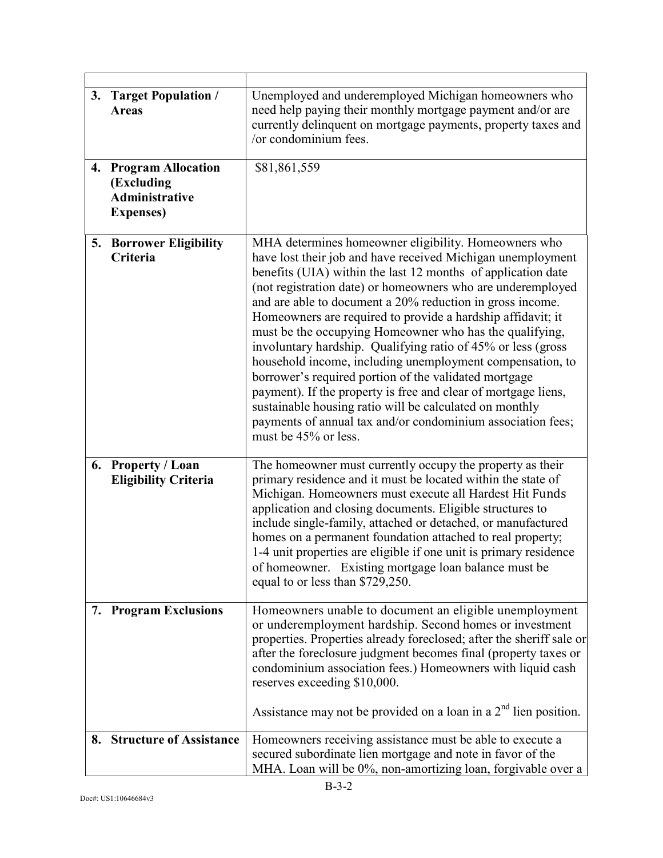| 3. | <b>Target Population /</b><br><b>Areas</b>                                        | Unemployed and underemployed Michigan homeowners who<br>need help paying their monthly mortgage payment and/or are<br>currently delinquent on mortgage payments, property taxes and<br>/or condominium fees.                                                                                                                                                                                                                                                                                                                                                                                                                                                                                                                                                                                                                                        |
|----|-----------------------------------------------------------------------------------|-----------------------------------------------------------------------------------------------------------------------------------------------------------------------------------------------------------------------------------------------------------------------------------------------------------------------------------------------------------------------------------------------------------------------------------------------------------------------------------------------------------------------------------------------------------------------------------------------------------------------------------------------------------------------------------------------------------------------------------------------------------------------------------------------------------------------------------------------------|
|    | 4. Program Allocation<br>(Excluding<br><b>Administrative</b><br><b>Expenses</b> ) | \$81,861,559                                                                                                                                                                                                                                                                                                                                                                                                                                                                                                                                                                                                                                                                                                                                                                                                                                        |
|    | 5. Borrower Eligibility<br>Criteria                                               | MHA determines homeowner eligibility. Homeowners who<br>have lost their job and have received Michigan unemployment<br>benefits (UIA) within the last 12 months of application date<br>(not registration date) or homeowners who are underemployed<br>and are able to document a 20% reduction in gross income.<br>Homeowners are required to provide a hardship affidavit; it<br>must be the occupying Homeowner who has the qualifying,<br>involuntary hardship. Qualifying ratio of 45% or less (gross<br>household income, including unemployment compensation, to<br>borrower's required portion of the validated mortgage<br>payment). If the property is free and clear of mortgage liens,<br>sustainable housing ratio will be calculated on monthly<br>payments of annual tax and/or condominium association fees;<br>must be 45% or less. |
|    | 6. Property / Loan<br><b>Eligibility Criteria</b>                                 | The homeowner must currently occupy the property as their<br>primary residence and it must be located within the state of<br>Michigan. Homeowners must execute all Hardest Hit Funds<br>application and closing documents. Eligible structures to<br>include single-family, attached or detached, or manufactured<br>homes on a permanent foundation attached to real property;<br>1-4 unit properties are eligible if one unit is primary residence<br>of homeowner. Existing mortgage loan balance must be<br>equal to or less than \$729,250.                                                                                                                                                                                                                                                                                                    |
|    | 7. Program Exclusions                                                             | Homeowners unable to document an eligible unemployment<br>or underemployment hardship. Second homes or investment<br>properties. Properties already foreclosed; after the sheriff sale or<br>after the foreclosure judgment becomes final (property taxes or<br>condominium association fees.) Homeowners with liquid cash<br>reserves exceeding \$10,000.<br>Assistance may not be provided on a loan in a $2nd$ lien position.                                                                                                                                                                                                                                                                                                                                                                                                                    |
|    | 8. Structure of Assistance                                                        | Homeowners receiving assistance must be able to execute a<br>secured subordinate lien mortgage and note in favor of the<br>MHA. Loan will be 0%, non-amortizing loan, forgivable over a                                                                                                                                                                                                                                                                                                                                                                                                                                                                                                                                                                                                                                                             |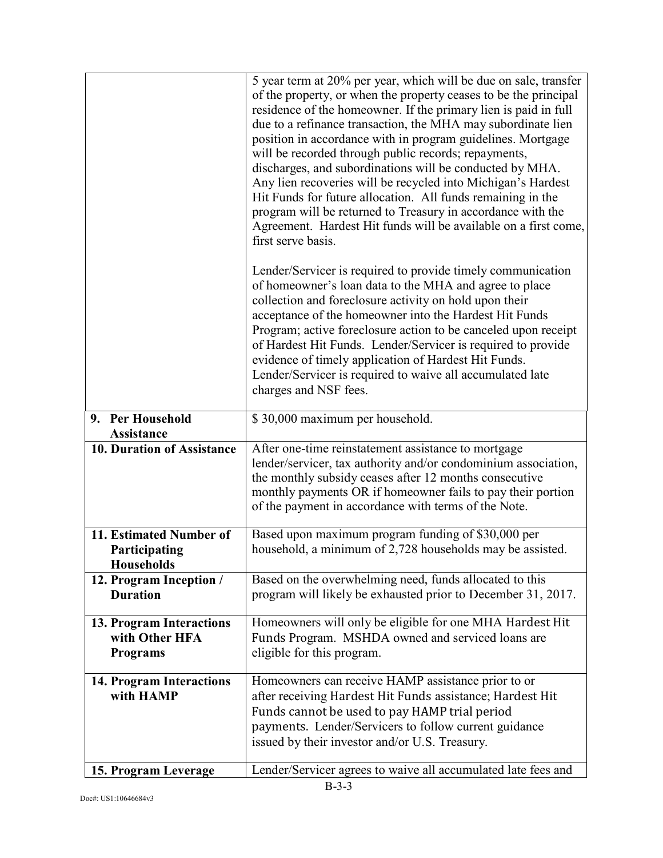|                                                               | 5 year term at 20% per year, which will be due on sale, transfer<br>of the property, or when the property ceases to be the principal<br>residence of the homeowner. If the primary lien is paid in full<br>due to a refinance transaction, the MHA may subordinate lien<br>position in accordance with in program guidelines. Mortgage<br>will be recorded through public records; repayments,<br>discharges, and subordinations will be conducted by MHA.<br>Any lien recoveries will be recycled into Michigan's Hardest<br>Hit Funds for future allocation. All funds remaining in the<br>program will be returned to Treasury in accordance with the<br>Agreement. Hardest Hit funds will be available on a first come,<br>first serve basis. |
|---------------------------------------------------------------|---------------------------------------------------------------------------------------------------------------------------------------------------------------------------------------------------------------------------------------------------------------------------------------------------------------------------------------------------------------------------------------------------------------------------------------------------------------------------------------------------------------------------------------------------------------------------------------------------------------------------------------------------------------------------------------------------------------------------------------------------|
|                                                               | Lender/Servicer is required to provide timely communication<br>of homeowner's loan data to the MHA and agree to place<br>collection and foreclosure activity on hold upon their<br>acceptance of the homeowner into the Hardest Hit Funds<br>Program; active foreclosure action to be canceled upon receipt<br>of Hardest Hit Funds. Lender/Servicer is required to provide<br>evidence of timely application of Hardest Hit Funds.<br>Lender/Servicer is required to waive all accumulated late<br>charges and NSF fees.                                                                                                                                                                                                                         |
| 9. Per Household<br><b>Assistance</b>                         | \$30,000 maximum per household.                                                                                                                                                                                                                                                                                                                                                                                                                                                                                                                                                                                                                                                                                                                   |
| <b>10. Duration of Assistance</b>                             | After one-time reinstatement assistance to mortgage<br>lender/servicer, tax authority and/or condominium association,<br>the monthly subsidy ceases after 12 months consecutive<br>monthly payments OR if homeowner fails to pay their portion<br>of the payment in accordance with terms of the Note.                                                                                                                                                                                                                                                                                                                                                                                                                                            |
| 11. Estimated Number of<br>Participating<br><b>Households</b> | Based upon maximum program funding of \$30,000 per<br>household, a minimum of 2,728 households may be assisted.                                                                                                                                                                                                                                                                                                                                                                                                                                                                                                                                                                                                                                   |
| 12. Program Inception /<br><b>Duration</b>                    | Based on the overwhelming need, funds allocated to this<br>program will likely be exhausted prior to December 31, 2017.                                                                                                                                                                                                                                                                                                                                                                                                                                                                                                                                                                                                                           |
| 13. Program Interactions<br>with Other HFA<br><b>Programs</b> | Homeowners will only be eligible for one MHA Hardest Hit<br>Funds Program. MSHDA owned and serviced loans are<br>eligible for this program.                                                                                                                                                                                                                                                                                                                                                                                                                                                                                                                                                                                                       |
| <b>14. Program Interactions</b><br>with HAMP                  | Homeowners can receive HAMP assistance prior to or<br>after receiving Hardest Hit Funds assistance; Hardest Hit<br>Funds cannot be used to pay HAMP trial period<br>payments. Lender/Servicers to follow current guidance<br>issued by their investor and/or U.S. Treasury.                                                                                                                                                                                                                                                                                                                                                                                                                                                                       |
| 15. Program Leverage                                          | Lender/Servicer agrees to waive all accumulated late fees and                                                                                                                                                                                                                                                                                                                                                                                                                                                                                                                                                                                                                                                                                     |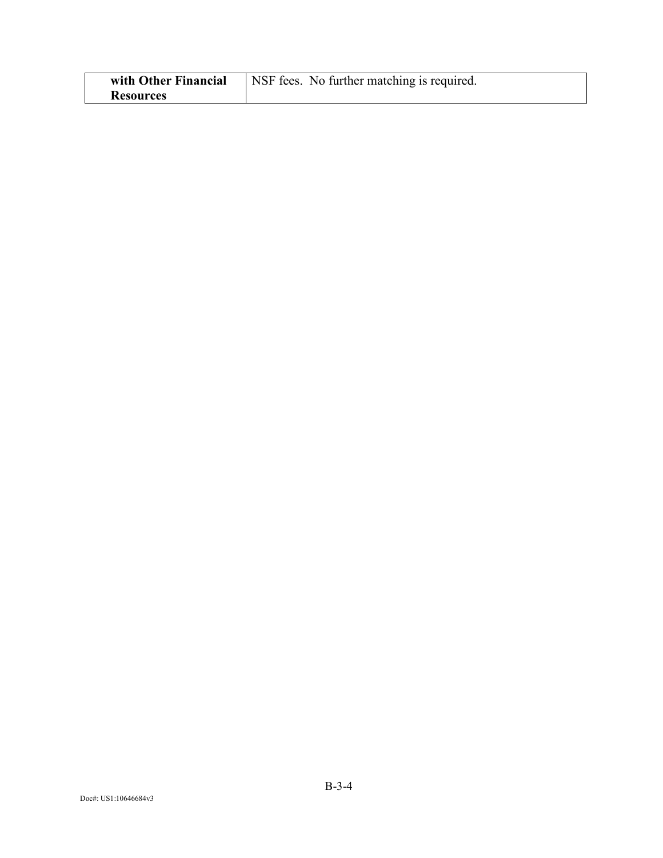| with Other Financial | NSF fees. No further matching is required. |
|----------------------|--------------------------------------------|
| <b>Resources</b>     |                                            |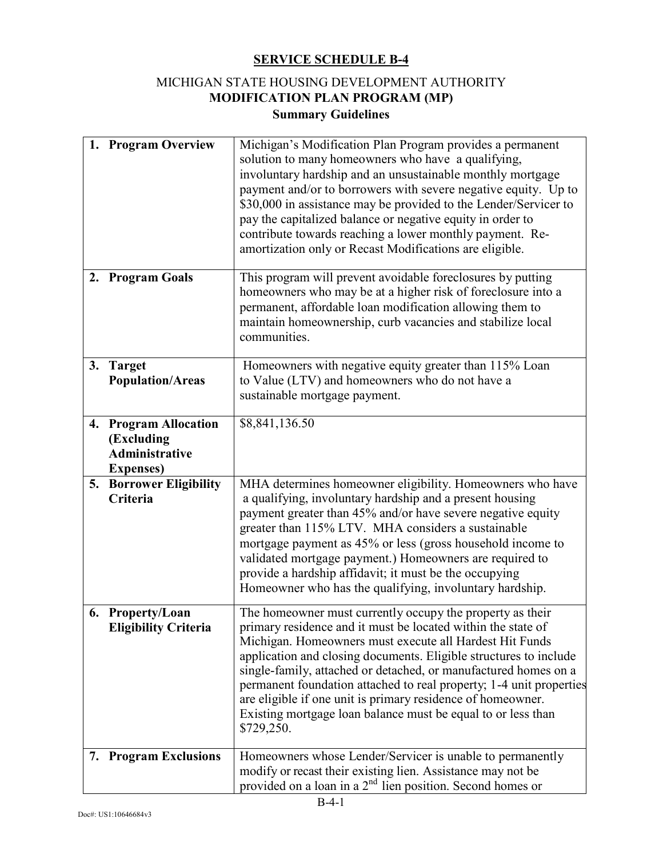# MICHIGAN STATE HOUSING DEVELOPMENT AUTHORITY **MODIFICATION PLAN PROGRAM (MP) Summary Guidelines**

|    | 1. Program Overview                                                               | Michigan's Modification Plan Program provides a permanent<br>solution to many homeowners who have a qualifying,<br>involuntary hardship and an unsustainable monthly mortgage<br>payment and/or to borrowers with severe negative equity. Up to<br>\$30,000 in assistance may be provided to the Lender/Servicer to<br>pay the capitalized balance or negative equity in order to<br>contribute towards reaching a lower monthly payment. Re-<br>amortization only or Recast Modifications are eligible.                                         |
|----|-----------------------------------------------------------------------------------|--------------------------------------------------------------------------------------------------------------------------------------------------------------------------------------------------------------------------------------------------------------------------------------------------------------------------------------------------------------------------------------------------------------------------------------------------------------------------------------------------------------------------------------------------|
|    | 2. Program Goals                                                                  | This program will prevent avoidable foreclosures by putting<br>homeowners who may be at a higher risk of foreclosure into a<br>permanent, affordable loan modification allowing them to<br>maintain homeownership, curb vacancies and stabilize local<br>communities.                                                                                                                                                                                                                                                                            |
|    | 3. Target<br><b>Population/Areas</b>                                              | Homeowners with negative equity greater than 115% Loan<br>to Value (LTV) and homeowners who do not have a<br>sustainable mortgage payment.                                                                                                                                                                                                                                                                                                                                                                                                       |
|    | 4. Program Allocation<br>(Excluding<br><b>Administrative</b><br><b>Expenses</b> ) | \$8,841,136.50                                                                                                                                                                                                                                                                                                                                                                                                                                                                                                                                   |
| 5. | <b>Borrower Eligibility</b><br>Criteria                                           | MHA determines homeowner eligibility. Homeowners who have<br>a qualifying, involuntary hardship and a present housing<br>payment greater than 45% and/or have severe negative equity<br>greater than 115% LTV. MHA considers a sustainable<br>mortgage payment as 45% or less (gross household income to<br>validated mortgage payment.) Homeowners are required to<br>provide a hardship affidavit; it must be the occupying<br>Homeowner who has the qualifying, involuntary hardship.                                                         |
|    | 6. Property/Loan<br><b>Eligibility Criteria</b>                                   | The homeowner must currently occupy the property as their<br>primary residence and it must be located within the state of<br>Michigan. Homeowners must execute all Hardest Hit Funds<br>application and closing documents. Eligible structures to include<br>single-family, attached or detached, or manufactured homes on a<br>permanent foundation attached to real property; 1-4 unit properties<br>are eligible if one unit is primary residence of homeowner.<br>Existing mortgage loan balance must be equal to or less than<br>\$729,250. |
|    | 7. Program Exclusions                                                             | Homeowners whose Lender/Servicer is unable to permanently<br>modify or recast their existing lien. Assistance may not be<br>provided on a loan in a $2nd$ lien position. Second homes or                                                                                                                                                                                                                                                                                                                                                         |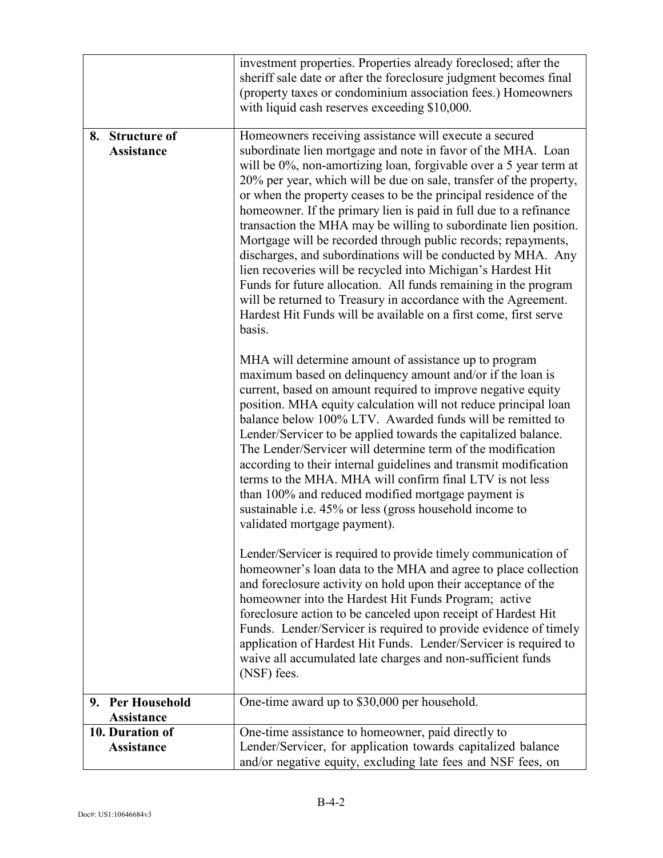|                                                | investment properties. Properties already foreclosed; after the<br>sheriff sale date or after the foreclosure judgment becomes final<br>(property taxes or condominium association fees.) Homeowners<br>with liquid cash reserves exceeding \$10,000.                                                                                                                                                                                                                                                                                                                                                                                                                                                                                                                                                                                                                                              |
|------------------------------------------------|----------------------------------------------------------------------------------------------------------------------------------------------------------------------------------------------------------------------------------------------------------------------------------------------------------------------------------------------------------------------------------------------------------------------------------------------------------------------------------------------------------------------------------------------------------------------------------------------------------------------------------------------------------------------------------------------------------------------------------------------------------------------------------------------------------------------------------------------------------------------------------------------------|
| <b>Structure of</b><br>8.<br><b>Assistance</b> | Homeowners receiving assistance will execute a secured<br>subordinate lien mortgage and note in favor of the MHA. Loan<br>will be 0%, non-amortizing loan, forgivable over a 5 year term at<br>20% per year, which will be due on sale, transfer of the property,<br>or when the property ceases to be the principal residence of the<br>homeowner. If the primary lien is paid in full due to a refinance<br>transaction the MHA may be willing to subordinate lien position.<br>Mortgage will be recorded through public records; repayments,<br>discharges, and subordinations will be conducted by MHA. Any<br>lien recoveries will be recycled into Michigan's Hardest Hit<br>Funds for future allocation. All funds remaining in the program<br>will be returned to Treasury in accordance with the Agreement.<br>Hardest Hit Funds will be available on a first come, first serve<br>basis. |
|                                                | MHA will determine amount of assistance up to program<br>maximum based on delinquency amount and/or if the loan is<br>current, based on amount required to improve negative equity<br>position. MHA equity calculation will not reduce principal loan<br>balance below 100% LTV. Awarded funds will be remitted to<br>Lender/Servicer to be applied towards the capitalized balance.<br>The Lender/Servicer will determine term of the modification<br>according to their internal guidelines and transmit modification<br>terms to the MHA. MHA will confirm final LTV is not less<br>than 100% and reduced modified mortgage payment is<br>sustainable i.e. 45% or less (gross household income to<br>validated mortgage payment).                                                                                                                                                               |
|                                                | Lender/Servicer is required to provide timely communication of<br>homeowner's loan data to the MHA and agree to place collection<br>and foreclosure activity on hold upon their acceptance of the<br>homeowner into the Hardest Hit Funds Program; active<br>foreclosure action to be canceled upon receipt of Hardest Hit<br>Funds. Lender/Servicer is required to provide evidence of timely<br>application of Hardest Hit Funds. Lender/Servicer is required to<br>waive all accumulated late charges and non-sufficient funds<br>(NSF) fees.                                                                                                                                                                                                                                                                                                                                                   |
| <b>Per Household</b><br>9.<br>Assistance       | One-time award up to \$30,000 per household.                                                                                                                                                                                                                                                                                                                                                                                                                                                                                                                                                                                                                                                                                                                                                                                                                                                       |
| 10. Duration of<br><b>Assistance</b>           | One-time assistance to homeowner, paid directly to<br>Lender/Servicer, for application towards capitalized balance<br>and/or negative equity, excluding late fees and NSF fees, on                                                                                                                                                                                                                                                                                                                                                                                                                                                                                                                                                                                                                                                                                                                 |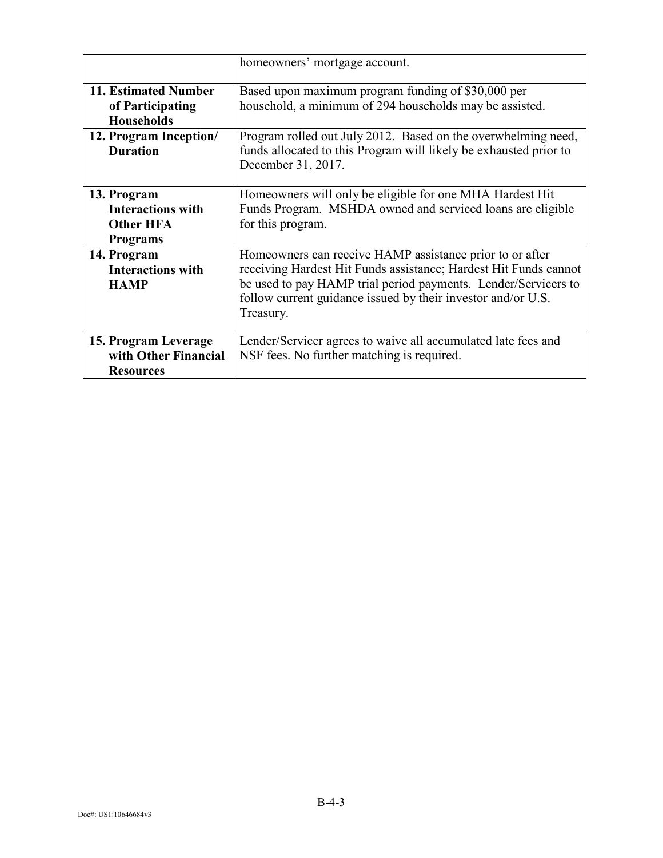|                                                                                | homeowners' mortgage account.                                                                                                                                                                                                                                               |
|--------------------------------------------------------------------------------|-----------------------------------------------------------------------------------------------------------------------------------------------------------------------------------------------------------------------------------------------------------------------------|
| 11. Estimated Number<br>of Participating<br><b>Households</b>                  | Based upon maximum program funding of \$30,000 per<br>household, a minimum of 294 households may be assisted.                                                                                                                                                               |
| 12. Program Inception/<br><b>Duration</b>                                      | Program rolled out July 2012. Based on the overwhelming need,<br>funds allocated to this Program will likely be exhausted prior to<br>December 31, 2017.                                                                                                                    |
| 13. Program<br><b>Interactions with</b><br><b>Other HFA</b><br><b>Programs</b> | Homeowners will only be eligible for one MHA Hardest Hit<br>Funds Program. MSHDA owned and serviced loans are eligible<br>for this program.                                                                                                                                 |
| 14. Program<br><b>Interactions with</b><br><b>HAMP</b>                         | Homeowners can receive HAMP assistance prior to or after<br>receiving Hardest Hit Funds assistance; Hardest Hit Funds cannot<br>be used to pay HAMP trial period payments. Lender/Servicers to<br>follow current guidance issued by their investor and/or U.S.<br>Treasury. |
| 15. Program Leverage<br>with Other Financial<br><b>Resources</b>               | Lender/Servicer agrees to waive all accumulated late fees and<br>NSF fees. No further matching is required.                                                                                                                                                                 |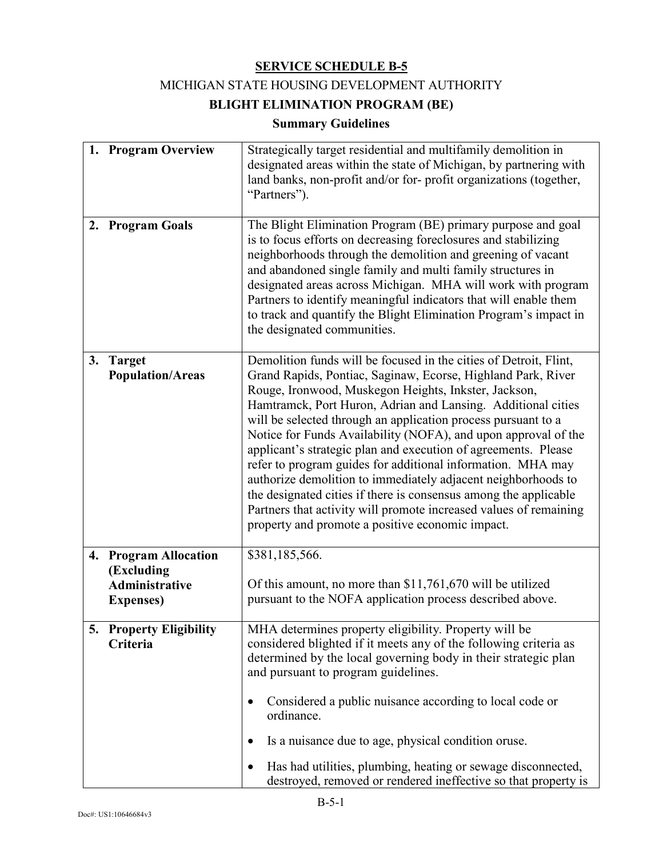# MICHIGAN STATE HOUSING DEVELOPMENT AUTHORITY

# **BLIGHT ELIMINATION PROGRAM (BE)**

# **Summary Guidelines**

|    | 1. Program Overview                                                        | Strategically target residential and multifamily demolition in<br>designated areas within the state of Michigan, by partnering with<br>land banks, non-profit and/or for-profit organizations (together,<br>"Partners").                                                                                                                                                                                                                                                                                                                                                                                                                                                                                                                                                                    |  |
|----|----------------------------------------------------------------------------|---------------------------------------------------------------------------------------------------------------------------------------------------------------------------------------------------------------------------------------------------------------------------------------------------------------------------------------------------------------------------------------------------------------------------------------------------------------------------------------------------------------------------------------------------------------------------------------------------------------------------------------------------------------------------------------------------------------------------------------------------------------------------------------------|--|
| 2. | <b>Program Goals</b>                                                       | The Blight Elimination Program (BE) primary purpose and goal<br>is to focus efforts on decreasing foreclosures and stabilizing<br>neighborhoods through the demolition and greening of vacant<br>and abandoned single family and multi family structures in<br>designated areas across Michigan. MHA will work with program<br>Partners to identify meaningful indicators that will enable them<br>to track and quantify the Blight Elimination Program's impact in<br>the designated communities.                                                                                                                                                                                                                                                                                          |  |
| 3. | <b>Target</b><br><b>Population/Areas</b>                                   | Demolition funds will be focused in the cities of Detroit, Flint,<br>Grand Rapids, Pontiac, Saginaw, Ecorse, Highland Park, River<br>Rouge, Ironwood, Muskegon Heights, Inkster, Jackson,<br>Hamtramck, Port Huron, Adrian and Lansing. Additional cities<br>will be selected through an application process pursuant to a<br>Notice for Funds Availability (NOFA), and upon approval of the<br>applicant's strategic plan and execution of agreements. Please<br>refer to program guides for additional information. MHA may<br>authorize demolition to immediately adjacent neighborhoods to<br>the designated cities if there is consensus among the applicable<br>Partners that activity will promote increased values of remaining<br>property and promote a positive economic impact. |  |
|    | 4. Program Allocation<br>(Excluding<br>Administrative<br><b>Expenses</b> ) | \$381,185,566.<br>Of this amount, no more than \$11,761,670 will be utilized<br>pursuant to the NOFA application process described above.                                                                                                                                                                                                                                                                                                                                                                                                                                                                                                                                                                                                                                                   |  |
|    | 5. Property Eligibility<br>Criteria                                        | MHA determines property eligibility. Property will be<br>considered blighted if it meets any of the following criteria as<br>determined by the local governing body in their strategic plan<br>and pursuant to program guidelines.<br>Considered a public nuisance according to local code or<br>ordinance.<br>Is a nuisance due to age, physical condition oruse.<br>٠<br>Has had utilities, plumbing, heating or sewage disconnected,<br>destroyed, removed or rendered ineffective so that property is                                                                                                                                                                                                                                                                                   |  |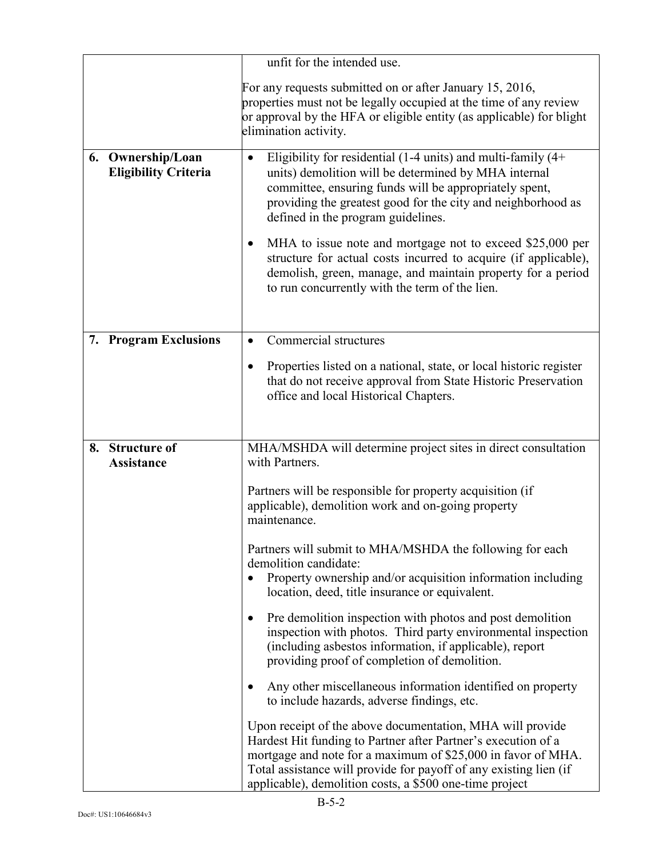|                                                  | unfit for the intended use.                                                                                                                                                                                                                                                                                                |
|--------------------------------------------------|----------------------------------------------------------------------------------------------------------------------------------------------------------------------------------------------------------------------------------------------------------------------------------------------------------------------------|
|                                                  | For any requests submitted on or after January 15, 2016,<br>properties must not be legally occupied at the time of any review<br>or approval by the HFA or eligible entity (as applicable) for blight<br>elimination activity.                                                                                             |
| 6. Ownership/Loan<br><b>Eligibility Criteria</b> | Eligibility for residential (1-4 units) and multi-family $(4+)$<br>$\bullet$<br>units) demolition will be determined by MHA internal<br>committee, ensuring funds will be appropriately spent,<br>providing the greatest good for the city and neighborhood as<br>defined in the program guidelines.                       |
|                                                  | MHA to issue note and mortgage not to exceed \$25,000 per<br>$\bullet$<br>structure for actual costs incurred to acquire (if applicable),<br>demolish, green, manage, and maintain property for a period<br>to run concurrently with the term of the lien.                                                                 |
| <b>Program Exclusions</b><br>7.                  | Commercial structures<br>٠                                                                                                                                                                                                                                                                                                 |
|                                                  | Properties listed on a national, state, or local historic register<br>that do not receive approval from State Historic Preservation<br>office and local Historical Chapters.                                                                                                                                               |
| <b>Structure of</b><br>8.                        | MHA/MSHDA will determine project sites in direct consultation                                                                                                                                                                                                                                                              |
| <b>Assistance</b>                                | with Partners.                                                                                                                                                                                                                                                                                                             |
|                                                  | Partners will be responsible for property acquisition (if<br>applicable), demolition work and on-going property<br>maintenance.                                                                                                                                                                                            |
|                                                  | Partners will submit to MHA/MSHDA the following for each<br>demolition candidate:<br>Property ownership and/or acquisition information including<br>$\bullet$<br>location, deed, title insurance or equivalent.                                                                                                            |
|                                                  | Pre demolition inspection with photos and post demolition<br>٠<br>inspection with photos. Third party environmental inspection<br>(including asbestos information, if applicable), report<br>providing proof of completion of demolition.                                                                                  |
|                                                  | Any other miscellaneous information identified on property<br>$\bullet$<br>to include hazards, adverse findings, etc.                                                                                                                                                                                                      |
|                                                  | Upon receipt of the above documentation, MHA will provide<br>Hardest Hit funding to Partner after Partner's execution of a<br>mortgage and note for a maximum of \$25,000 in favor of MHA.<br>Total assistance will provide for payoff of any existing lien (if<br>applicable), demolition costs, a \$500 one-time project |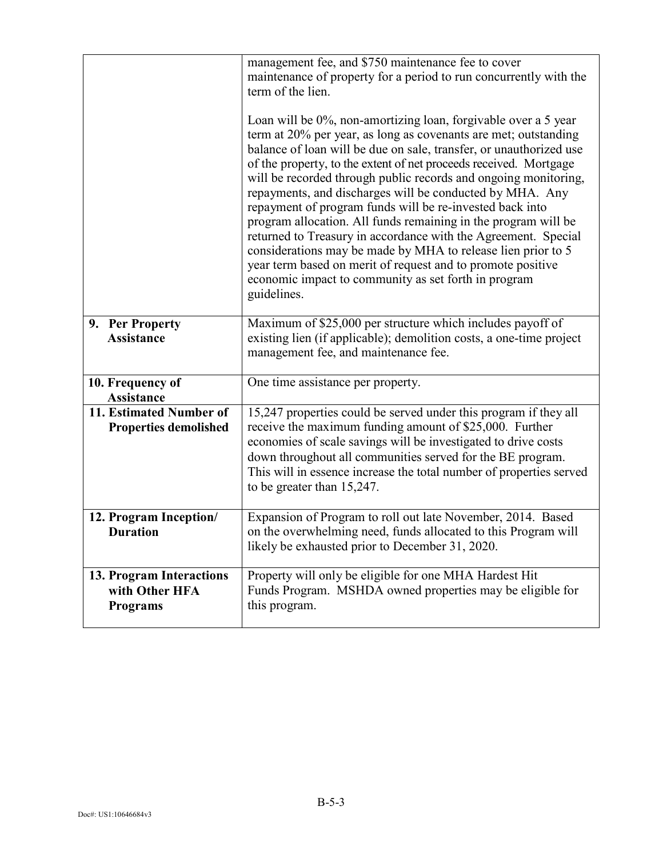|                                                               | management fee, and \$750 maintenance fee to cover<br>maintenance of property for a period to run concurrently with the<br>term of the lien.<br>Loan will be 0%, non-amortizing loan, forgivable over a 5 year<br>term at 20% per year, as long as covenants are met; outstanding<br>balance of loan will be due on sale, transfer, or unauthorized use<br>of the property, to the extent of net proceeds received. Mortgage<br>will be recorded through public records and ongoing monitoring,<br>repayments, and discharges will be conducted by MHA. Any<br>repayment of program funds will be re-invested back into<br>program allocation. All funds remaining in the program will be<br>returned to Treasury in accordance with the Agreement. Special<br>considerations may be made by MHA to release lien prior to 5<br>year term based on merit of request and to promote positive<br>economic impact to community as set forth in program<br>guidelines. |
|---------------------------------------------------------------|-------------------------------------------------------------------------------------------------------------------------------------------------------------------------------------------------------------------------------------------------------------------------------------------------------------------------------------------------------------------------------------------------------------------------------------------------------------------------------------------------------------------------------------------------------------------------------------------------------------------------------------------------------------------------------------------------------------------------------------------------------------------------------------------------------------------------------------------------------------------------------------------------------------------------------------------------------------------|
| 9. Per Property<br><b>Assistance</b>                          | Maximum of \$25,000 per structure which includes payoff of<br>existing lien (if applicable); demolition costs, a one-time project<br>management fee, and maintenance fee.                                                                                                                                                                                                                                                                                                                                                                                                                                                                                                                                                                                                                                                                                                                                                                                         |
| 10. Frequency of<br>Assistance                                | One time assistance per property.                                                                                                                                                                                                                                                                                                                                                                                                                                                                                                                                                                                                                                                                                                                                                                                                                                                                                                                                 |
| 11. Estimated Number of<br><b>Properties demolished</b>       | 15,247 properties could be served under this program if they all<br>receive the maximum funding amount of \$25,000. Further<br>economies of scale savings will be investigated to drive costs<br>down throughout all communities served for the BE program.<br>This will in essence increase the total number of properties served<br>to be greater than 15,247.                                                                                                                                                                                                                                                                                                                                                                                                                                                                                                                                                                                                  |
| 12. Program Inception/<br><b>Duration</b>                     | Expansion of Program to roll out late November, 2014. Based<br>on the overwhelming need, funds allocated to this Program will<br>likely be exhausted prior to December 31, 2020.                                                                                                                                                                                                                                                                                                                                                                                                                                                                                                                                                                                                                                                                                                                                                                                  |
| 13. Program Interactions<br>with Other HFA<br><b>Programs</b> | Property will only be eligible for one MHA Hardest Hit<br>Funds Program. MSHDA owned properties may be eligible for<br>this program.                                                                                                                                                                                                                                                                                                                                                                                                                                                                                                                                                                                                                                                                                                                                                                                                                              |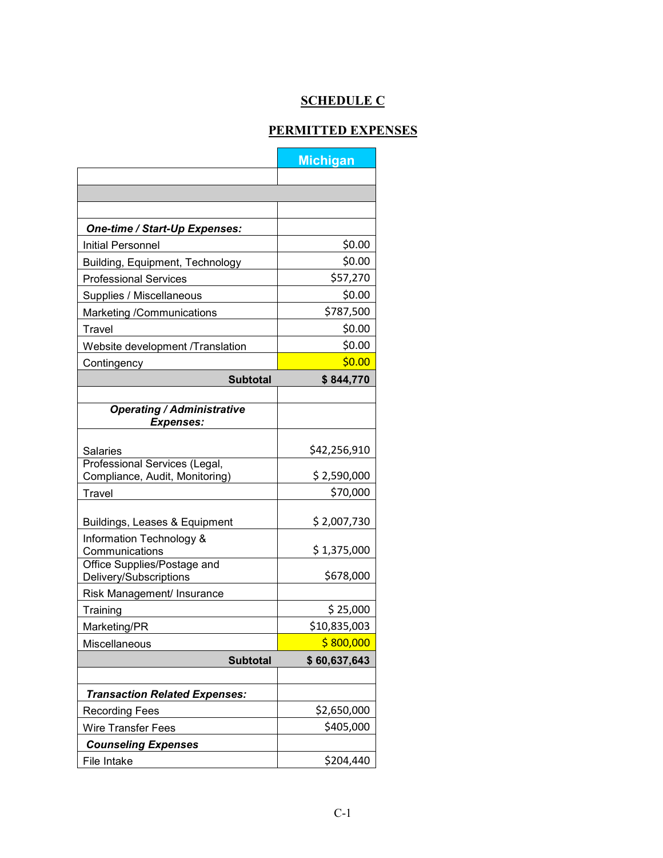# **SCHEDULE C**

## **PERMITTED EXPENSES**

|                                      | <b>Michigan</b>           |
|--------------------------------------|---------------------------|
|                                      |                           |
|                                      |                           |
|                                      |                           |
| One-time / Start-Up Expenses:        |                           |
| <b>Initial Personnel</b>             | \$0.00                    |
| Building, Equipment, Technology      | \$0.00                    |
| <b>Professional Services</b>         | \$57,270                  |
| Supplies / Miscellaneous             | \$0.00                    |
| Marketing /Communications            | \$787,500                 |
| Travel                               | \$0.00                    |
| Website development /Translation     | \$0.00                    |
| Contingency                          | \$0.00                    |
| <b>Subtotal</b>                      | \$844,770                 |
|                                      |                           |
| <b>Operating / Administrative</b>    |                           |
| <b>Expenses:</b>                     |                           |
| <b>Salaries</b>                      | \$42,256,910              |
| Professional Services (Legal,        |                           |
| Compliance, Audit, Monitoring)       | \$2,590,000               |
| Travel                               | \$70,000                  |
| Buildings, Leases & Equipment        | \$2,007,730               |
| Information Technology &             |                           |
| Communications                       | \$1,375,000               |
| Office Supplies/Postage and          | \$678,000                 |
| Delivery/Subscriptions               |                           |
| Risk Management/ Insurance           | \$25,000                  |
| Training                             |                           |
| Marketing/PR                         | \$10,835,003<br>\$800,000 |
| Miscellaneous                        |                           |
| <b>Subtotal</b>                      | \$60,637,643              |
| <b>Transaction Related Expenses:</b> |                           |
| <b>Recording Fees</b>                | \$2,650,000               |
| Wire Transfer Fees                   | \$405,000                 |
| <b>Counseling Expenses</b>           |                           |
| File Intake                          | \$204,440                 |